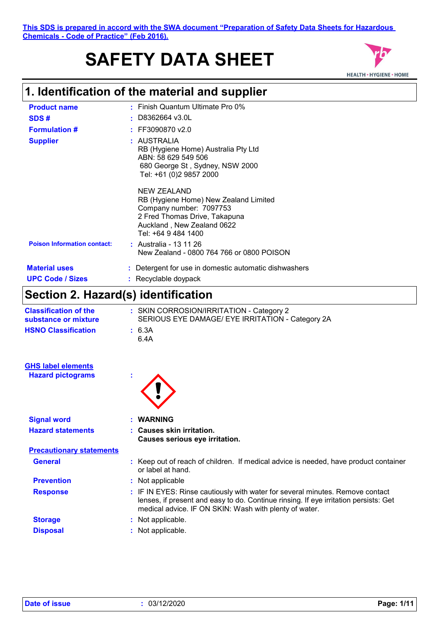# **SAFETY DATA SHEET**



### **1. Identification of the material and supplier**

| <b>Product name</b>                |   | $\cdot$ Finish Quantum Ultimate Pro 0%                                                                                                                                |
|------------------------------------|---|-----------------------------------------------------------------------------------------------------------------------------------------------------------------------|
| SDS#                               | ٠ | D8362664 v3.0L                                                                                                                                                        |
| <b>Formulation #</b>               |   | $:$ FF3090870 v2.0                                                                                                                                                    |
| <b>Supplier</b>                    |   | : AUSTRALIA<br>RB (Hygiene Home) Australia Pty Ltd<br>ABN: 58 629 549 506<br>680 George St, Sydney, NSW 2000<br>Tel: +61 (0)2 9857 2000                               |
|                                    |   | NEW ZEALAND<br>RB (Hygiene Home) New Zealand Limited<br>Company number: 7097753<br>2 Fred Thomas Drive, Takapuna<br>Auckland, New Zealand 0622<br>Tel: +64 9 484 1400 |
| <b>Poison Information contact:</b> |   | : Australia - 13 11 26<br>New Zealand - 0800 764 766 or 0800 POISON                                                                                                   |
| <b>Material uses</b>               |   | : Detergent for use in domestic automatic dishwashers                                                                                                                 |
| <b>UPC Code / Sizes</b>            |   | : Recyclable doypack                                                                                                                                                  |

### **Section 2. Hazard(s) identification**

| <b>Classification of the</b><br>substance or mixture | : SKIN CORROSION/IRRITATION - Category 2<br>SERIOUS EYE DAMAGE/ EYE IRRITATION - Category 2A |
|------------------------------------------------------|----------------------------------------------------------------------------------------------|
| <b>HSNO Classification</b>                           | : 6.3A<br>6.4A                                                                               |

| <b>GHS label elements</b> |  |
|---------------------------|--|
| <b>Hazard pictograms</b>  |  |
|                           |  |

| ٠ |  |
|---|--|

| <b>Signal word</b>              | <b>WARNING</b>                                                                                                                                                                                                                  |  |
|---------------------------------|---------------------------------------------------------------------------------------------------------------------------------------------------------------------------------------------------------------------------------|--|
| <b>Hazard statements</b>        | : Causes skin irritation.<br>Causes serious eye irritation.                                                                                                                                                                     |  |
| <b>Precautionary statements</b> |                                                                                                                                                                                                                                 |  |
| <b>General</b>                  | : Keep out of reach of children. If medical advice is needed, have product container<br>or label at hand.                                                                                                                       |  |
| <b>Prevention</b>               | : Not applicable                                                                                                                                                                                                                |  |
| <b>Response</b>                 | : IF IN EYES: Rinse cautiously with water for several minutes. Remove contact<br>lenses, if present and easy to do. Continue rinsing. If eye irritation persists: Get<br>medical advice. IF ON SKIN: Wash with plenty of water. |  |
| <b>Storage</b>                  | : Not applicable.                                                                                                                                                                                                               |  |
| <b>Disposal</b>                 | Not applicable.                                                                                                                                                                                                                 |  |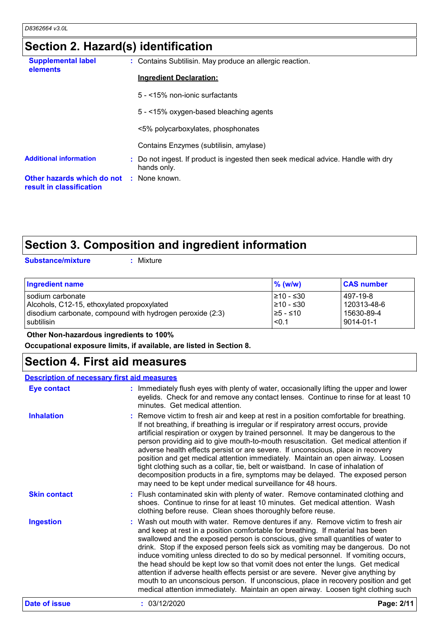### **Section 2. Hazard(s) identification**

| <b>Supplemental label</b><br>elements                                       | : Contains Subtilisin. May produce an allergic reaction.                                         |
|-----------------------------------------------------------------------------|--------------------------------------------------------------------------------------------------|
|                                                                             | <b>Ingredient Declaration:</b>                                                                   |
|                                                                             | 5 - <15% non-ionic surfactants                                                                   |
|                                                                             | 5 - <15% oxygen-based bleaching agents                                                           |
|                                                                             | <5% polycarboxylates, phosphonates                                                               |
|                                                                             | Contains Enzymes (subtilisin, amylase)                                                           |
| <b>Additional information</b>                                               | : Do not ingest. If product is ingested then seek medical advice. Handle with dry<br>hands only. |
| <b>Other hazards which do not : None known.</b><br>result in classification |                                                                                                  |

### **Section 3. Composition and ingredient information**

**Substance/mixture :**

: Mixture

| <b>Ingredient name</b>                                    | $\%$ (w/w)      | <b>CAS number</b> |
|-----------------------------------------------------------|-----------------|-------------------|
| I sodium carbonate                                        | I≥10 - ≤30      | 497-19-8          |
| Alcohols, C12-15, ethoxylated propoxylated                | $\geq 10 - 530$ | 120313-48-6       |
| disodium carbonate, compound with hydrogen peroxide (2:3) | I≥5 - ≤10       | 15630-89-4        |
| I subtilisin                                              | $ $ <0.1        | 9014-01-1         |

 **Other Non-hazardous ingredients to 100%**

**Occupational exposure limits, if available, are listed in Section 8.**

### **Section 4. First aid measures**

| <b>Description of necessary first aid measures</b> |                                                                                                                                                                                                                                                                                                                                                                                                                                                                                                                                                                                                                                                                                                                                                                                      |
|----------------------------------------------------|--------------------------------------------------------------------------------------------------------------------------------------------------------------------------------------------------------------------------------------------------------------------------------------------------------------------------------------------------------------------------------------------------------------------------------------------------------------------------------------------------------------------------------------------------------------------------------------------------------------------------------------------------------------------------------------------------------------------------------------------------------------------------------------|
| <b>Eye contact</b>                                 | : Immediately flush eyes with plenty of water, occasionally lifting the upper and lower<br>eyelids. Check for and remove any contact lenses. Continue to rinse for at least 10<br>minutes. Get medical attention.                                                                                                                                                                                                                                                                                                                                                                                                                                                                                                                                                                    |
| <b>Inhalation</b>                                  | : Remove victim to fresh air and keep at rest in a position comfortable for breathing.<br>If not breathing, if breathing is irregular or if respiratory arrest occurs, provide<br>artificial respiration or oxygen by trained personnel. It may be dangerous to the<br>person providing aid to give mouth-to-mouth resuscitation. Get medical attention if<br>adverse health effects persist or are severe. If unconscious, place in recovery<br>position and get medical attention immediately. Maintain an open airway. Loosen<br>tight clothing such as a collar, tie, belt or waistband. In case of inhalation of<br>decomposition products in a fire, symptoms may be delayed. The exposed person<br>may need to be kept under medical surveillance for 48 hours.               |
| <b>Skin contact</b>                                | : Flush contaminated skin with plenty of water. Remove contaminated clothing and<br>shoes. Continue to rinse for at least 10 minutes. Get medical attention. Wash<br>clothing before reuse. Clean shoes thoroughly before reuse.                                                                                                                                                                                                                                                                                                                                                                                                                                                                                                                                                     |
| <b>Ingestion</b>                                   | : Wash out mouth with water. Remove dentures if any. Remove victim to fresh air<br>and keep at rest in a position comfortable for breathing. If material has been<br>swallowed and the exposed person is conscious, give small quantities of water to<br>drink. Stop if the exposed person feels sick as vomiting may be dangerous. Do not<br>induce vomiting unless directed to do so by medical personnel. If vomiting occurs,<br>the head should be kept low so that vomit does not enter the lungs. Get medical<br>attention if adverse health effects persist or are severe. Never give anything by<br>mouth to an unconscious person. If unconscious, place in recovery position and get<br>medical attention immediately. Maintain an open airway. Loosen tight clothing such |
| <b>Date of issue</b>                               | : 03/12/2020<br>Page: 2/11                                                                                                                                                                                                                                                                                                                                                                                                                                                                                                                                                                                                                                                                                                                                                           |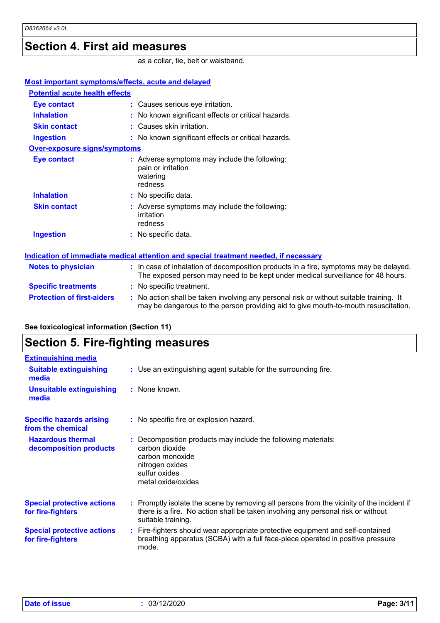### **Section 4. First aid measures**

as a collar, tie, belt or waistband.

| Most important symptoms/effects, acute and delayed                                   |                                                                                                                                                                               |  |  |
|--------------------------------------------------------------------------------------|-------------------------------------------------------------------------------------------------------------------------------------------------------------------------------|--|--|
| <b>Potential acute health effects</b>                                                |                                                                                                                                                                               |  |  |
| <b>Eye contact</b>                                                                   | : Causes serious eye irritation.                                                                                                                                              |  |  |
| <b>Inhalation</b>                                                                    | : No known significant effects or critical hazards.                                                                                                                           |  |  |
| <b>Skin contact</b>                                                                  | : Causes skin irritation.                                                                                                                                                     |  |  |
| <b>Ingestion</b>                                                                     | : No known significant effects or critical hazards.                                                                                                                           |  |  |
| Over-exposure signs/symptoms                                                         |                                                                                                                                                                               |  |  |
| <b>Eye contact</b>                                                                   | : Adverse symptoms may include the following:<br>pain or irritation<br>watering<br>redness                                                                                    |  |  |
| <b>Inhalation</b>                                                                    | : No specific data.                                                                                                                                                           |  |  |
| <b>Skin contact</b>                                                                  | : Adverse symptoms may include the following:<br>irritation<br>redness                                                                                                        |  |  |
| <b>Ingestion</b>                                                                     | : No specific data.                                                                                                                                                           |  |  |
| Indication of immediate medical attention and special treatment needed, if necessary |                                                                                                                                                                               |  |  |
| <b>Notes to physician</b>                                                            | : In case of inhalation of decomposition products in a fire, symptoms may be delayed.<br>The exposed person may need to be kept under medical surveillance for 48 hours.      |  |  |
| <b>Specific treatments</b>                                                           | : No specific treatment.                                                                                                                                                      |  |  |
| <b>Protection of first-aiders</b>                                                    | : No action shall be taken involving any personal risk or without suitable training. It<br>may be dangerous to the person providing aid to give mouth-to-mouth resuscitation. |  |  |

### **See toxicological information (Section 11)**

### **Section 5. Fire-fighting measures**

| <b>Extinguishing media</b>                             |                                                                                                                                                                                                     |
|--------------------------------------------------------|-----------------------------------------------------------------------------------------------------------------------------------------------------------------------------------------------------|
| <b>Suitable extinguishing</b><br>media                 | : Use an extinguishing agent suitable for the surrounding fire.                                                                                                                                     |
| <b>Unsuitable extinguishing</b><br>media               | : None known.                                                                                                                                                                                       |
| <b>Specific hazards arising</b><br>from the chemical   | : No specific fire or explosion hazard.                                                                                                                                                             |
| <b>Hazardous thermal</b><br>decomposition products     | Decomposition products may include the following materials:<br>carbon dioxide<br>carbon monoxide<br>nitrogen oxides<br>sulfur oxides<br>metal oxide/oxides                                          |
| <b>Special protective actions</b><br>for fire-fighters | : Promptly isolate the scene by removing all persons from the vicinity of the incident if<br>there is a fire. No action shall be taken involving any personal risk or without<br>suitable training. |
| <b>Special protective actions</b><br>for fire-fighters | : Fire-fighters should wear appropriate protective equipment and self-contained<br>breathing apparatus (SCBA) with a full face-piece operated in positive pressure<br>mode.                         |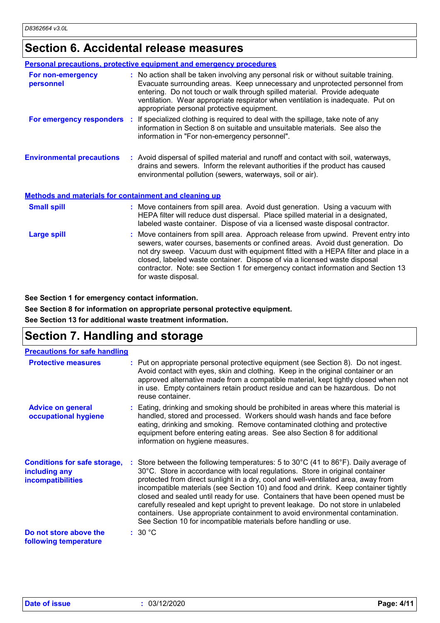### **Section 6. Accidental release measures**

|                                                              | <b>Personal precautions, protective equipment and emergency procedures</b>                                                                                                                                                                                                                                                                                                                                                                         |
|--------------------------------------------------------------|----------------------------------------------------------------------------------------------------------------------------------------------------------------------------------------------------------------------------------------------------------------------------------------------------------------------------------------------------------------------------------------------------------------------------------------------------|
| For non-emergency<br>personnel                               | : No action shall be taken involving any personal risk or without suitable training.<br>Evacuate surrounding areas. Keep unnecessary and unprotected personnel from<br>entering. Do not touch or walk through spilled material. Provide adequate<br>ventilation. Wear appropriate respirator when ventilation is inadequate. Put on<br>appropriate personal protective equipment.                                                                  |
|                                                              | For emergency responders : If specialized clothing is required to deal with the spillage, take note of any<br>information in Section 8 on suitable and unsuitable materials. See also the<br>information in "For non-emergency personnel".                                                                                                                                                                                                         |
| <b>Environmental precautions</b>                             | : Avoid dispersal of spilled material and runoff and contact with soil, waterways,<br>drains and sewers. Inform the relevant authorities if the product has caused<br>environmental pollution (sewers, waterways, soil or air).                                                                                                                                                                                                                    |
| <b>Methods and materials for containment and cleaning up</b> |                                                                                                                                                                                                                                                                                                                                                                                                                                                    |
| <b>Small spill</b>                                           | : Move containers from spill area. Avoid dust generation. Using a vacuum with<br>HEPA filter will reduce dust dispersal. Place spilled material in a designated,<br>labeled waste container. Dispose of via a licensed waste disposal contractor.                                                                                                                                                                                                  |
| <b>Large spill</b>                                           | : Move containers from spill area. Approach release from upwind. Prevent entry into<br>sewers, water courses, basements or confined areas. Avoid dust generation. Do<br>not dry sweep. Vacuum dust with equipment fitted with a HEPA filter and place in a<br>closed, labeled waste container. Dispose of via a licensed waste disposal<br>contractor. Note: see Section 1 for emergency contact information and Section 13<br>for waste disposal. |

**See Section 1 for emergency contact information.**

**See Section 8 for information on appropriate personal protective equipment.**

**See Section 13 for additional waste treatment information.**

### **Section 7. Handling and storage**

| <b>Precautions for safe handling</b>                                             |                                                                                                                                                                                                                                                                                                                                                                                                                                                                                                                                                                                                                                                                                                      |
|----------------------------------------------------------------------------------|------------------------------------------------------------------------------------------------------------------------------------------------------------------------------------------------------------------------------------------------------------------------------------------------------------------------------------------------------------------------------------------------------------------------------------------------------------------------------------------------------------------------------------------------------------------------------------------------------------------------------------------------------------------------------------------------------|
| <b>Protective measures</b>                                                       | : Put on appropriate personal protective equipment (see Section 8). Do not ingest.<br>Avoid contact with eyes, skin and clothing. Keep in the original container or an<br>approved alternative made from a compatible material, kept tightly closed when not<br>in use. Empty containers retain product residue and can be hazardous. Do not<br>reuse container.                                                                                                                                                                                                                                                                                                                                     |
| <b>Advice on general</b><br>occupational hygiene                                 | : Eating, drinking and smoking should be prohibited in areas where this material is<br>handled, stored and processed. Workers should wash hands and face before<br>eating, drinking and smoking. Remove contaminated clothing and protective<br>equipment before entering eating areas. See also Section 8 for additional<br>information on hygiene measures.                                                                                                                                                                                                                                                                                                                                        |
| <b>Conditions for safe storage,</b><br>including any<br><b>incompatibilities</b> | : Store between the following temperatures: 5 to 30 $^{\circ}$ C (41 to 86 $^{\circ}$ F). Daily average of<br>30°C. Store in accordance with local regulations. Store in original container<br>protected from direct sunlight in a dry, cool and well-ventilated area, away from<br>incompatible materials (see Section 10) and food and drink. Keep container tightly<br>closed and sealed until ready for use. Containers that have been opened must be<br>carefully resealed and kept upright to prevent leakage. Do not store in unlabeled<br>containers. Use appropriate containment to avoid environmental contamination.<br>See Section 10 for incompatible materials before handling or use. |
| Do not store above the<br>following temperature                                  | : 30 °C                                                                                                                                                                                                                                                                                                                                                                                                                                                                                                                                                                                                                                                                                              |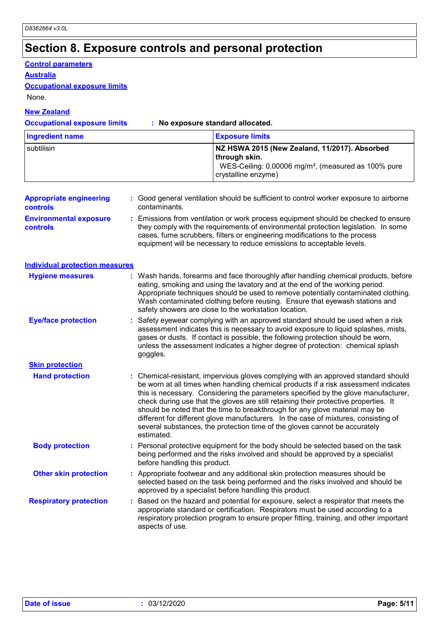### **Section 8. Exposure controls and personal protection**

#### **Control parameters**

**Australia**

#### **Occupational exposure limits**

None.

#### **New Zealand**

**Occupational exposure limits : No exposure standard allocated.**

| <b>Ingredient name</b> | <b>Exposure limits</b>                                                                                                                                    |
|------------------------|-----------------------------------------------------------------------------------------------------------------------------------------------------------|
| subtilisin             | NZ HSWA 2015 (New Zealand, 11/2017). Absorbed<br>∣through skin.<br>WES-Ceiling: 0.00006 mg/m <sup>3</sup> , (measured as 100% pure<br>crystalline enzyme) |

| <b>Appropriate engineering</b><br><b>controls</b> | : Good general ventilation should be sufficient to control worker exposure to airborne<br>contaminants.                                                                                                                                                                                                                         |
|---------------------------------------------------|---------------------------------------------------------------------------------------------------------------------------------------------------------------------------------------------------------------------------------------------------------------------------------------------------------------------------------|
| <b>Environmental exposure</b><br><b>controls</b>  | : Emissions from ventilation or work process equipment should be checked to ensure<br>they comply with the requirements of environmental protection legislation. In some<br>cases, fume scrubbers, filters or engineering modifications to the process<br>equipment will be necessary to reduce emissions to acceptable levels. |

### **Individual protection measures**

| <b>Hygiene measures</b>       | : Wash hands, forearms and face thoroughly after handling chemical products, before<br>eating, smoking and using the lavatory and at the end of the working period.<br>Appropriate techniques should be used to remove potentially contaminated clothing.<br>Wash contaminated clothing before reusing. Ensure that eyewash stations and<br>safety showers are close to the workstation location.                                                                                                                                                                                                                         |
|-------------------------------|---------------------------------------------------------------------------------------------------------------------------------------------------------------------------------------------------------------------------------------------------------------------------------------------------------------------------------------------------------------------------------------------------------------------------------------------------------------------------------------------------------------------------------------------------------------------------------------------------------------------------|
| <b>Eye/face protection</b>    | Safety eyewear complying with an approved standard should be used when a risk<br>assessment indicates this is necessary to avoid exposure to liquid splashes, mists,<br>gases or dusts. If contact is possible, the following protection should be worn,<br>unless the assessment indicates a higher degree of protection: chemical splash<br>goggles.                                                                                                                                                                                                                                                                    |
| <b>Skin protection</b>        |                                                                                                                                                                                                                                                                                                                                                                                                                                                                                                                                                                                                                           |
| <b>Hand protection</b>        | : Chemical-resistant, impervious gloves complying with an approved standard should<br>be worn at all times when handling chemical products if a risk assessment indicates<br>this is necessary. Considering the parameters specified by the glove manufacturer,<br>check during use that the gloves are still retaining their protective properties. It<br>should be noted that the time to breakthrough for any glove material may be<br>different for different glove manufacturers. In the case of mixtures, consisting of<br>several substances, the protection time of the gloves cannot be accurately<br>estimated. |
| <b>Body protection</b>        | Personal protective equipment for the body should be selected based on the task<br>being performed and the risks involved and should be approved by a specialist<br>before handling this product.                                                                                                                                                                                                                                                                                                                                                                                                                         |
| <b>Other skin protection</b>  | : Appropriate footwear and any additional skin protection measures should be<br>selected based on the task being performed and the risks involved and should be<br>approved by a specialist before handling this product.                                                                                                                                                                                                                                                                                                                                                                                                 |
| <b>Respiratory protection</b> | Based on the hazard and potential for exposure, select a respirator that meets the<br>appropriate standard or certification. Respirators must be used according to a<br>respiratory protection program to ensure proper fitting, training, and other important<br>aspects of use.                                                                                                                                                                                                                                                                                                                                         |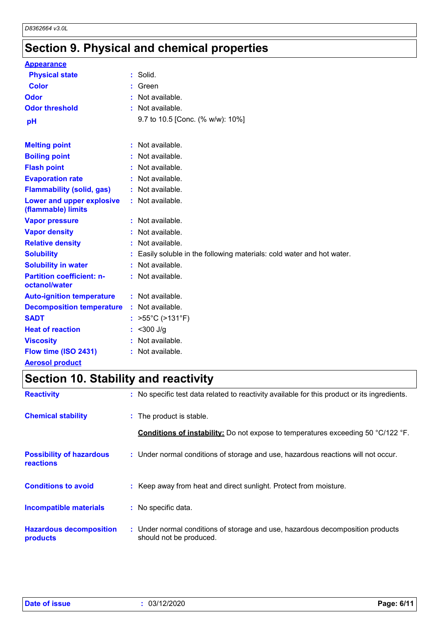## **Section 9. Physical and chemical properties**

| <b>Appearance</b>                                 |                                                                        |
|---------------------------------------------------|------------------------------------------------------------------------|
| <b>Physical state</b>                             | : Solid.                                                               |
| <b>Color</b>                                      | $:$ Green                                                              |
| Odor                                              | : Not available.                                                       |
| <b>Odor threshold</b>                             | : Not available.                                                       |
| pH                                                | 9.7 to 10.5 [Conc. (% w/w): 10%]                                       |
|                                                   |                                                                        |
| <b>Melting point</b>                              | : Not available.                                                       |
| <b>Boiling point</b>                              | : Not available.                                                       |
| <b>Flash point</b>                                | : Not available.                                                       |
| <b>Evaporation rate</b>                           | : Not available.                                                       |
| <b>Flammability (solid, gas)</b>                  | : Not available.                                                       |
| Lower and upper explosive<br>(flammable) limits   | : Not available.                                                       |
| <b>Vapor pressure</b>                             | : Not available.                                                       |
| <b>Vapor density</b>                              | : Not available.                                                       |
| <b>Relative density</b>                           | : Not available.                                                       |
| <b>Solubility</b>                                 | : Easily soluble in the following materials: cold water and hot water. |
| <b>Solubility in water</b>                        | : Not available.                                                       |
| <b>Partition coefficient: n-</b><br>octanol/water | : Not available.                                                       |
| <b>Auto-ignition temperature</b>                  | : Not available.                                                       |
| <b>Decomposition temperature</b>                  | : Not available.                                                       |
| <b>SADT</b>                                       | : $>55^{\circ}$ C ( $>131^{\circ}$ F)                                  |
| <b>Heat of reaction</b>                           | : < 300 J/g                                                            |
| <b>Viscosity</b>                                  | : Not available.                                                       |
| Flow time (ISO 2431)                              | : Not available.                                                       |
| <b>Aerosol product</b>                            |                                                                        |

## **Section 10. Stability and reactivity**

| <b>Reactivity</b>                            | : No specific test data related to reactivity available for this product or its ingredients.              |
|----------------------------------------------|-----------------------------------------------------------------------------------------------------------|
| <b>Chemical stability</b>                    | : The product is stable.                                                                                  |
|                                              | <b>Conditions of instability:</b> Do not expose to temperatures exceeding 50 °C/122 °F.                   |
| <b>Possibility of hazardous</b><br>reactions | : Under normal conditions of storage and use, hazardous reactions will not occur.                         |
| <b>Conditions to avoid</b>                   | : Keep away from heat and direct sunlight. Protect from moisture.                                         |
| <b>Incompatible materials</b>                | : No specific data.                                                                                       |
| <b>Hazardous decomposition</b><br>products   | : Under normal conditions of storage and use, hazardous decomposition products<br>should not be produced. |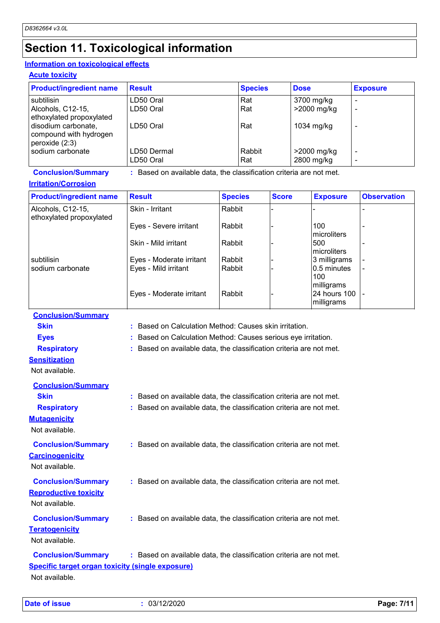### **Section 11. Toxicological information**

### **Information on toxicological effects**

**Acute toxicity**

| <b>Product/ingredient name</b>                                  | <b>Result</b> | <b>Species</b> | <b>Dose</b> | <b>Exposure</b> |
|-----------------------------------------------------------------|---------------|----------------|-------------|-----------------|
| subtilisin                                                      | LD50 Oral     | Rat            | 3700 mg/kg  |                 |
| Alcohols, C12-15,<br>ethoxylated propoxylated                   | LD50 Oral     | Rat            | >2000 mg/kg |                 |
| disodium carbonate,<br>compound with hydrogen<br>peroxide (2:3) | LD50 Oral     | Rat            | 1034 mg/kg  |                 |
| sodium carbonate                                                | LD50 Dermal   | Rabbit         | >2000 mg/kg | -               |
|                                                                 | LD50 Oral     | Rat            | 2800 mg/kg  |                 |

**Conclusion/Summary :** Based on available data, the classification criteria are not met.

#### **Irritation/Corrosion**

| <b>Product/ingredient name</b>                | <b>Result</b>            | <b>Species</b> | <b>Score</b> | <b>Exposure</b>                          | <b>Observation</b>       |
|-----------------------------------------------|--------------------------|----------------|--------------|------------------------------------------|--------------------------|
| Alcohols, C12-15,<br>ethoxylated propoxylated | Skin - Irritant          | Rabbit         |              |                                          |                          |
|                                               | Eyes - Severe irritant   | Rabbit         |              | 100<br>Imicroliters                      |                          |
|                                               | Skin - Mild irritant     | Rabbit         |              | 500<br>Imicroliters                      |                          |
| subtilisin                                    | Eyes - Moderate irritant | Rabbit         |              | 3 milligrams                             |                          |
| sodium carbonate                              | Eyes - Mild irritant     | Rabbit         |              | 0.5 minutes<br>100                       |                          |
|                                               | Eyes - Moderate irritant | Rabbit         |              | milligrams<br>24 hours 100<br>milligrams | $\overline{\phantom{a}}$ |

**Conclusion/Summary**

**Skin :** Based on Calculation Method: Causes skin irritation.

**Eyes :** Based on Calculation Method: Causes serious eye irritation.

**Respiratory :** Based on available data, the classification criteria are not met.

**Sensitization** Not available.

#### **Conclusion/Summary**

| <b>Skin</b>                                             | : Based on available data, the classification criteria are not met. |
|---------------------------------------------------------|---------------------------------------------------------------------|
| <b>Respiratory</b>                                      | : Based on available data, the classification criteria are not met. |
| <b>Mutagenicity</b>                                     |                                                                     |
| Not available.                                          |                                                                     |
| <b>Conclusion/Summary</b>                               | : Based on available data, the classification criteria are not met. |
| <b>Carcinogenicity</b>                                  |                                                                     |
| Not available.                                          |                                                                     |
| <b>Conclusion/Summary</b>                               | : Based on available data, the classification criteria are not met. |
| <b>Reproductive toxicity</b>                            |                                                                     |
| Not available.                                          |                                                                     |
| <b>Conclusion/Summary</b>                               | : Based on available data, the classification criteria are not met. |
| <b>Teratogenicity</b>                                   |                                                                     |
| Not available.                                          |                                                                     |
| <b>Conclusion/Summary</b>                               | : Based on available data, the classification criteria are not met. |
| <b>Specific target organ toxicity (single exposure)</b> |                                                                     |

Not available.

**Date of issue :** 03/12/2020 **Page: 7/11**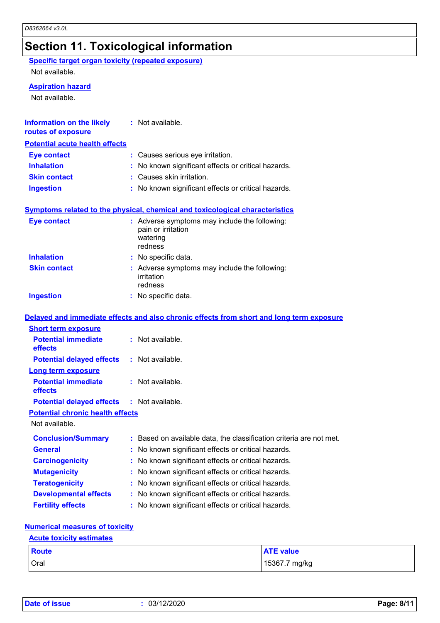### **Section 11. Toxicological information**

**Specific target organ toxicity (repeated exposure)**

Not available.

#### **Aspiration hazard**

Not available.

| <b>Information on the likely</b><br>routes of exposure | : Not available.                                                                           |
|--------------------------------------------------------|--------------------------------------------------------------------------------------------|
| <b>Potential acute health effects</b>                  |                                                                                            |
| <b>Eye contact</b>                                     | : Causes serious eye irritation.                                                           |
| <b>Inhalation</b>                                      | No known significant effects or critical hazards.                                          |
| <b>Skin contact</b>                                    | : Causes skin irritation.                                                                  |
| <b>Ingestion</b>                                       | : No known significant effects or critical hazards.                                        |
|                                                        | Symptoms related to the physical, chemical and toxicological characteristics               |
| <b>Eye contact</b>                                     | : Adverse symptoms may include the following:<br>pain or irritation<br>watering<br>redness |
| <b>Inhalation</b>                                      | : No specific data.                                                                        |
| <b>Skin contact</b>                                    | : Adverse symptoms may include the following:<br>irritation<br>redness                     |
| <b>Ingestion</b>                                       | : No specific data.                                                                        |
|                                                        | Delayed and immediate effects and also chronic effects from short and long term exposure   |
| <b>Short term exposure</b>                             |                                                                                            |
| <b>Potential immediate</b><br>effects                  | : Not available.                                                                           |
| <b>Potential delayed effects</b>                       | : Not available.                                                                           |
| <b>Long term exposure</b>                              |                                                                                            |
| <b>Potential immediate</b><br>effects                  | : Not available.                                                                           |
| <b>Potential delayed effects</b>                       | : Not available.                                                                           |
| <b>Potential chronic health effects</b>                |                                                                                            |
| Not available.                                         |                                                                                            |
|                                                        | Conclusion/Summary : Based on available data, the classification criteria are not met.     |
| <b>General</b>                                         | No known significant effects or critical hazards.                                          |
| <b>Carcinogenicity</b>                                 | No known significant effects or critical hazards.                                          |
| <b>Mutagenicity</b>                                    | No known significant effects or critical hazards.                                          |
| <b>Teratogenicity</b>                                  | No known significant effects or critical hazards.                                          |
| <b>Developmental effects</b>                           | No known significant effects or critical hazards.                                          |
| <b>Fertility effects</b>                               | No known significant effects or critical hazards.                                          |
|                                                        |                                                                                            |

#### **Numerical measures of toxicity**

#### **Acute toxicity estimates**

| <b>Route</b> | <b>ATE value</b> |
|--------------|------------------|
| Oral         | 15367.7 mg/kg    |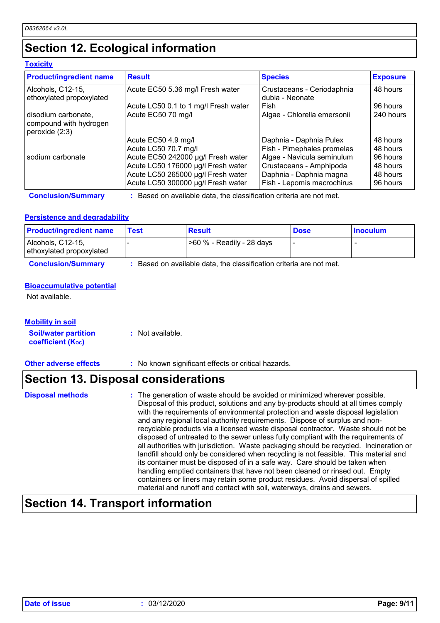### **Section 12. Ecological information**

#### **Toxicity**

| <b>Product/ingredient name</b>                                  | <b>Result</b>                        | <b>Species</b>                                | <b>Exposure</b> |
|-----------------------------------------------------------------|--------------------------------------|-----------------------------------------------|-----------------|
| Alcohols, C12-15,<br>ethoxylated propoxylated                   | Acute EC50 5.36 mg/l Fresh water     | Crustaceans - Ceriodaphnia<br>dubia - Neonate | 48 hours        |
|                                                                 | Acute LC50 0.1 to 1 mg/l Fresh water | Fish                                          | 96 hours        |
| disodium carbonate,<br>compound with hydrogen<br>peroxide (2:3) | Acute EC50 70 mg/l                   | Algae - Chlorella emersonii                   | 240 hours       |
|                                                                 | Acute EC50 4.9 mg/l                  | Daphnia - Daphnia Pulex                       | 48 hours        |
|                                                                 | Acute LC50 70.7 mg/l                 | Fish - Pimephales promelas                    | 48 hours        |
| sodium carbonate                                                | Acute EC50 242000 µg/l Fresh water   | Algae - Navicula seminulum                    | 96 hours        |
|                                                                 | Acute LC50 176000 µg/l Fresh water   | Crustaceans - Amphipoda                       | 48 hours        |
|                                                                 | Acute LC50 265000 µg/l Fresh water   | Daphnia - Daphnia magna                       | 48 hours        |
|                                                                 | Acute LC50 300000 µg/l Fresh water   | Fish - Lepomis macrochirus                    | 96 hours        |

**Conclusion/Summary :** Based on available data, the classification criteria are not met.

#### **Persistence and degradability**

| <b>Product/ingredient name</b>                | Test | <b>Result</b>             | <b>Dose</b> | <b>Inoculum</b> |
|-----------------------------------------------|------|---------------------------|-------------|-----------------|
| Alcohols, C12-15,<br>ethoxylated propoxylated |      | >60 % - Readily - 28 days |             |                 |

**Conclusion/Summary :** Based on available data, the classification criteria are not met.

#### **Bioaccumulative potential**

Not available.

#### **Mobility in soil**

| <b>Soil/water partition</b> | : Not available. |
|-----------------------------|------------------|
| <b>coefficient (Koc)</b>    |                  |

**Other adverse effects** : No known significant effects or critical hazards.

### **Section 13. Disposal considerations**

| <b>Disposal methods</b> | : The generation of waste should be avoided or minimized wherever possible.            |
|-------------------------|----------------------------------------------------------------------------------------|
|                         | Disposal of this product, solutions and any by-products should at all times comply     |
|                         | with the requirements of environmental protection and waste disposal legislation       |
|                         | and any regional local authority requirements. Dispose of surplus and non-             |
|                         | recyclable products via a licensed waste disposal contractor. Waste should not be      |
|                         | disposed of untreated to the sewer unless fully compliant with the requirements of     |
|                         | all authorities with jurisdiction. Waste packaging should be recycled. Incineration or |
|                         | landfill should only be considered when recycling is not feasible. This material and   |
|                         | its container must be disposed of in a safe way. Care should be taken when             |
|                         | handling emptied containers that have not been cleaned or rinsed out. Empty            |
|                         | containers or liners may retain some product residues. Avoid dispersal of spilled      |
|                         | material and runoff and contact with soil, waterways, drains and sewers.               |

### **Section 14. Transport information**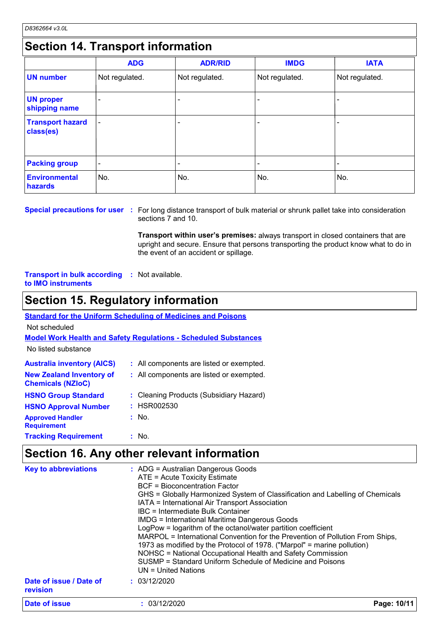### **Section 14. Transport information**

|                                      | <b>ADG</b>               | <b>ADR/RID</b> | <b>IMDG</b>    | <b>IATA</b>              |  |  |
|--------------------------------------|--------------------------|----------------|----------------|--------------------------|--|--|
| <b>UN number</b>                     | Not regulated.           | Not regulated. | Not regulated. | Not regulated.           |  |  |
| <b>UN proper</b><br>shipping name    |                          |                |                |                          |  |  |
| <b>Transport hazard</b><br>class(es) | $\overline{a}$           |                |                | $\overline{\phantom{0}}$ |  |  |
| <b>Packing group</b>                 | $\overline{\phantom{0}}$ |                |                |                          |  |  |
| <b>Environmental</b><br>hazards      | No.                      | No.            | No.            | No.                      |  |  |

#### **Special precautions for user** : For long distance transport of bulk material or shrunk pallet take into consideration sections 7 and 10.

**Transport within user's premises:** always transport in closed containers that are upright and secure. Ensure that persons transporting the product know what to do in the event of an accident or spillage.

**Transport in bulk according :** Not available. **to IMO instruments**

### **Section 15. Regulatory information**

**Standard for the Uniform Scheduling of Medicines and Poisons**

Not scheduled

**Model Work Health and Safety Regulations - Scheduled Substances**

No listed substance

| <b>Australia inventory (AICS)</b><br><b>New Zealand Inventory of</b><br><b>Chemicals (NZIoC)</b> | : All components are listed or exempted.<br>: All components are listed or exempted. |
|--------------------------------------------------------------------------------------------------|--------------------------------------------------------------------------------------|
| <b>HSNO Group Standard</b><br><b>HSNO Approval Number</b>                                        | : Cleaning Products (Subsidiary Hazard)<br>: HSR002530                               |
| <b>Approved Handler</b><br><b>Requirement</b>                                                    | : No.                                                                                |
| <b>Tracking Requirement</b>                                                                      | : No.                                                                                |

### **Section 16. Any other relevant information**

| <b>Key to abbreviations</b>         | : ADG = Australian Dangerous Goods<br>ATE = Acute Toxicity Estimate<br><b>BCF</b> = Bioconcentration Factor<br>GHS = Globally Harmonized System of Classification and Labelling of Chemicals<br>IATA = International Air Transport Association<br>IBC = Intermediate Bulk Container<br><b>IMDG = International Maritime Dangerous Goods</b><br>LogPow = logarithm of the octanol/water partition coefficient<br>MARPOL = International Convention for the Prevention of Pollution From Ships,<br>1973 as modified by the Protocol of 1978. ("Marpol" = marine pollution)<br>NOHSC = National Occupational Health and Safety Commission<br>SUSMP = Standard Uniform Schedule of Medicine and Poisons |             |  |  |
|-------------------------------------|-----------------------------------------------------------------------------------------------------------------------------------------------------------------------------------------------------------------------------------------------------------------------------------------------------------------------------------------------------------------------------------------------------------------------------------------------------------------------------------------------------------------------------------------------------------------------------------------------------------------------------------------------------------------------------------------------------|-------------|--|--|
|                                     | $UN = United Nations$                                                                                                                                                                                                                                                                                                                                                                                                                                                                                                                                                                                                                                                                               |             |  |  |
| Date of issue / Date of<br>revision | : 03/12/2020                                                                                                                                                                                                                                                                                                                                                                                                                                                                                                                                                                                                                                                                                        |             |  |  |
| <b>Date of issue</b>                | : 03/12/2020                                                                                                                                                                                                                                                                                                                                                                                                                                                                                                                                                                                                                                                                                        | Page: 10/11 |  |  |